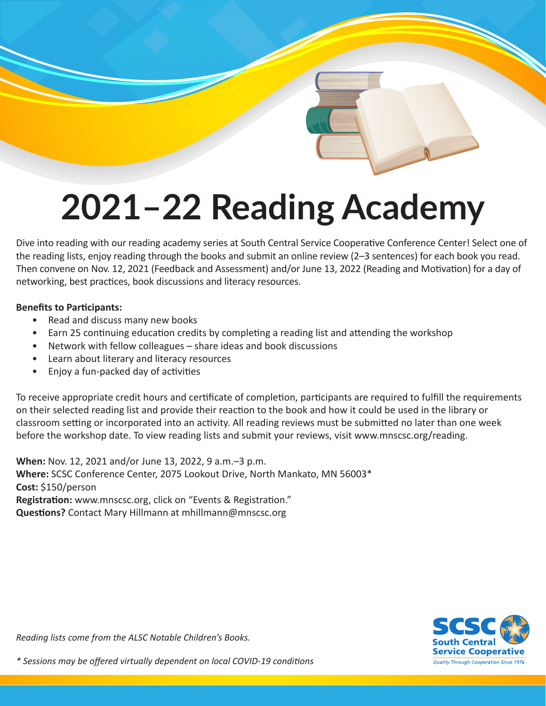# **2021–22 Reading Academy**

Dive into reading with our reading academy series at South Central Service Cooperative Conference Center! Select one of the reading lists, enjoy reading through the books and submit an online review (2–3 sentences) for each book you read. Then convene on Nov. 12, 2021 (Feedback and Assessment) and/or June 13, 2022 (Reading and Motivation) for a day of networking, best practices, book discussions and literacy resources.

#### **Benefits to Participants:**

- Read and discuss many new books
- Earn 25 continuing education credits by completing a reading list and attending the workshop
- Network with fellow colleagues share ideas and book discussions
- Learn about literary and literacy resources
- Enjoy a fun-packed day of activities

To receive appropriate credit hours and certificate of completion, participants are required to fulfill the requirements on their selected reading list and provide their reaction to the book and how it could be used in the library or classroom setting or incorporated into an activity. All reading reviews must be submitted no later than one week before the workshop date. To view reading lists and submit your reviews, visit www.mnscsc.org/reading.

**When:** Nov. 12, 2021 and/or June 13, 2022, 9 a.m.–3 p.m. **Where:** SCSC Conference Center, 2075 Lookout Drive, North Mankato, MN 56003\* **Cost:** \$150/person **Registration:** www.mnscsc.org, click on "Events & Registration." **Questions?** Contact Mary Hillmann at mhillmann@mnscsc.org



*Reading lists come from the ALSC Notable Children's Books.*

*\* Sessions may be offered virtually dependent on local COVID-19 conditions*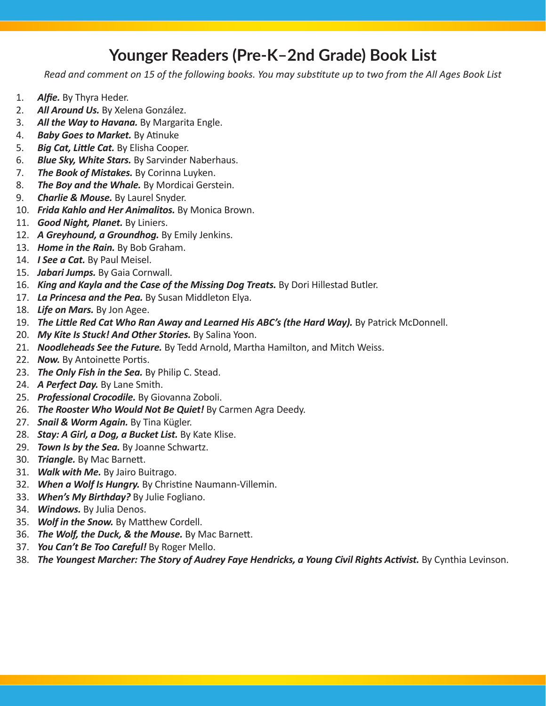## **Younger Readers (Pre-K–2nd Grade) Book List**

*Read and comment on 15 of the following books. You may substitute up to two from the All Ages Book List*

- 1. *Alfie.* By Thyra Heder.
- 2. *All Around Us.* By Xelena González.
- 3. *All the Way to Havana.* By Margarita Engle.
- 4. *Baby Goes to Market.* By Atinuke
- 5. *Big Cat, Little Cat.* By Elisha Cooper.
- 6. *Blue Sky, White Stars.* By Sarvinder Naberhaus.
- 7. *The Book of Mistakes.* By Corinna Luyken.
- 8. *The Boy and the Whale.* By Mordicai Gerstein.
- 9. *Charlie & Mouse.* By Laurel Snyder.
- 10. *Frida Kahlo and Her Animalitos.* By Monica Brown.
- 11. *Good Night, Planet.* By Liniers.
- 12. *A Greyhound, a Groundhog.* By Emily Jenkins.
- 13. *Home in the Rain.* By Bob Graham.
- 14. *I See a Cat.* By Paul Meisel.
- 15. *Jabari Jumps.* By Gaia Cornwall.
- 16. *King and Kayla and the Case of the Missing Dog Treats.* By Dori Hillestad Butler.
- 17. *La Princesa and the Pea.* By Susan Middleton Elya.
- 18. *Life on Mars.* By Jon Agee.
- 19. *The Little Red Cat Who Ran Away and Learned His ABC's (the Hard Way).* By Patrick McDonnell.
- 20. *My Kite Is Stuck! And Other Stories.* By Salina Yoon.
- 21. *Noodleheads See the Future.* By Tedd Arnold, Martha Hamilton, and Mitch Weiss.
- 22. *Now.* By Antoinette Portis.
- 23. *The Only Fish in the Sea.* By Philip C. Stead.
- 24. *A Perfect Day.* By Lane Smith.
- 25. *Professional Crocodile.* By Giovanna Zoboli.
- 26. *The Rooster Who Would Not Be Quiet!* By Carmen Agra Deedy.
- 27. *Snail & Worm Again.* By Tina Kügler.
- 28. *Stay: A Girl, a Dog, a Bucket List.* By Kate Klise.
- 29. *Town Is by the Sea.* By Joanne Schwartz.
- 30. *Triangle.* By Mac Barnett.
- 31. *Walk with Me.* By Jairo Buitrago.
- 32. *When a Wolf Is Hungry.* By Christine Naumann-Villemin.
- 33. *When's My Birthday?* By Julie Fogliano.
- 34. *Windows.* By Julia Denos.
- 35. *Wolf in the Snow.* By Matthew Cordell.
- 36. *The Wolf, the Duck, & the Mouse.* By Mac Barnett.
- 37. *You Can't Be Too Careful!* By Roger Mello.
- 38. *The Youngest Marcher: The Story of Audrey Faye Hendricks, a Young Civil Rights Activist.* By Cynthia Levinson.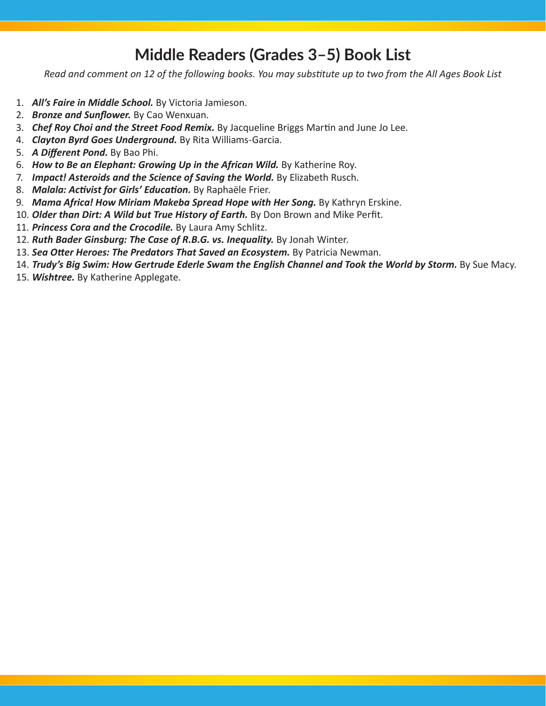### **Middle Readers (Grades 3–5) Book List**

*Read and comment on 12 of the following books. You may substitute up to two from the All Ages Book List*

- 1. *All's Faire in Middle School.* By Victoria Jamieson.
- 2. *Bronze and Sunflower.* By Cao Wenxuan.
- 3. *Chef Roy Choi and the Street Food Remix.* By Jacqueline Briggs Martin and June Jo Lee.
- 4. *Clayton Byrd Goes Underground.* By Rita Williams-Garcia.
- 5. *A Different Pond.* By Bao Phi.
- 6. *How to Be an Elephant: Growing Up in the African Wild.* By Katherine Roy.
- 7. **Impact! Asteroids and the Science of Saving the World.** By Elizabeth Rusch.
- 8. *Malala: Activist for Girls' Education.* By Raphaële Frier.
- 9. *Mama Africa! How Miriam Makeba Spread Hope with Her Song.* By Kathryn Erskine.
- 10. *Older than Dirt: A Wild but True History of Earth.* By Don Brown and Mike Perfit.
- 11. *Princess Cora and the Crocodile.* By Laura Amy Schlitz.
- 12. Ruth Bader Ginsburg: The Case of R.B.G. vs. Inequality. By Jonah Winter.
- 13. **Sea Otter Heroes: The Predators That Saved an Ecosystem.** By Patricia Newman.
- 14. *Trudy's Big Swim: How Gertrude Ederle Swam the English Channel and Took the World by Storm. By Sue Macy.*
- 15. *Wishtree.* By Katherine Applegate.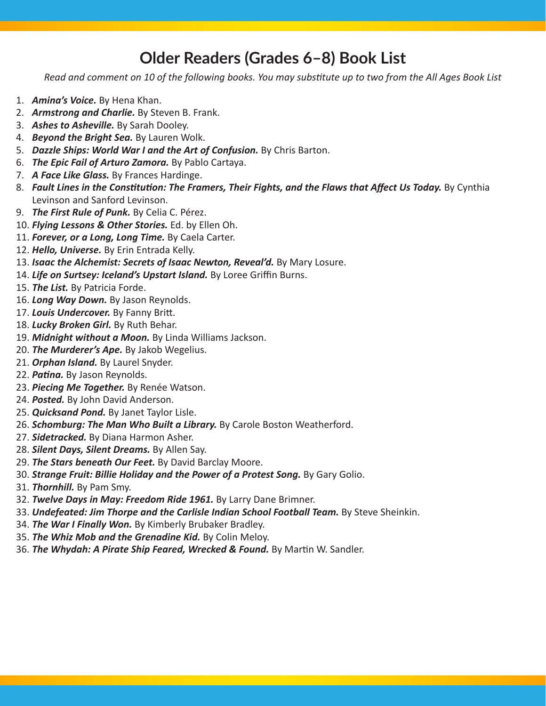### **Older Readers (Grades 6–8) Book List**

*Read and comment on 10 of the following books. You may substitute up to two from the All Ages Book List*

- 1. *Amina's Voice.* By Hena Khan.
- 2. *Armstrong and Charlie.* By Steven B. Frank.
- 3. *Ashes to Asheville.* By Sarah Dooley.
- 4. *Beyond the Bright Sea.* By Lauren Wolk.
- 5. *Dazzle Ships: World War I and the Art of Confusion.* By Chris Barton.
- 6. *The Epic Fail of Arturo Zamora.* By Pablo Cartaya.
- 7. *A Face Like Glass.* By Frances Hardinge.
- 8. Fault Lines in the Constitution: The Framers, Their Fights, and the Flaws that Affect Us Today. By Cynthia Levinson and Sanford Levinson.
- 9. *The First Rule of Punk.* By Celia C. Pérez.
- 10. *Flying Lessons & Other Stories.* Ed. by Ellen Oh.
- 11. *Forever, or a Long, Long Time.* By Caela Carter.
- 12. *Hello, Universe.* By Erin Entrada Kelly.
- 13. **Isaac the Alchemist: Secrets of Isaac Newton, Reveal'd.** By Mary Losure.
- 14. Life on Surtsey: Iceland's Upstart Island. By Loree Griffin Burns.
- 15. *The List.* By Patricia Forde.
- 16. *Long Way Down.* By Jason Reynolds.
- 17. Louis Undercover. By Fanny Britt.
- 18. *Lucky Broken Girl.* By Ruth Behar.
- 19. *Midnight without a Moon.* By Linda Williams Jackson.
- 20. *The Murderer's Ape.* By Jakob Wegelius.
- 21. *Orphan Island.* By Laurel Snyder.
- 22. *Patina.* By Jason Reynolds.
- 23. *Piecing Me Together.* By Renée Watson.
- 24. *Posted.* By John David Anderson.
- 25. *Quicksand Pond.* By Janet Taylor Lisle.
- 26. *Schomburg: The Man Who Built a Library.* By Carole Boston Weatherford.
- 27. *Sidetracked.* By Diana Harmon Asher.
- 28. *Silent Days, Silent Dreams.* By Allen Say.
- 29. *The Stars beneath Our Feet.* By David Barclay Moore.
- 30. *Strange Fruit: Billie Holiday and the Power of a Protest Song.* **By Gary Golio.**
- 31. *Thornhill.* By Pam Smy.
- 32. *Twelve Days in May: Freedom Ride 1961.* By Larry Dane Brimner.
- 33. *Undefeated: Jim Thorpe and the Carlisle Indian School Football Team.* By Steve Sheinkin.
- 34. *The War I Finally Won.* By Kimberly Brubaker Bradley.
- 35. *The Whiz Mob and the Grenadine Kid.* By Colin Meloy.
- 36. *The Whydah: A Pirate Ship Feared, Wrecked & Found.* By Martin W. Sandler.